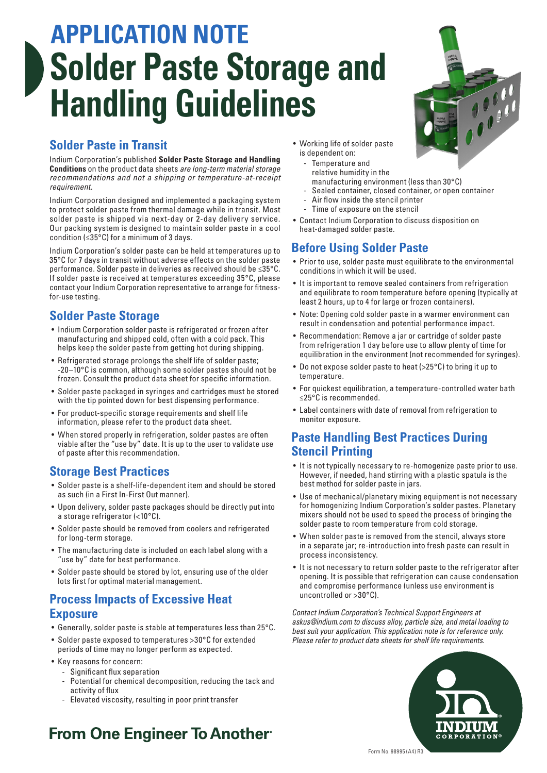# **APPLICATION NOTE Solder Paste Storage and Handling Guidelines**

## **Solder Paste in Transit**

Indium Corporation's published **Solder Paste Storage and Handling Conditions** on the product data sheets *are long-term material storage recommendations and not a shipping or temperature-at-receipt requirement.*

Indium Corporation designed and implemented a packaging system to protect solder paste from thermal damage while in transit. Most solder paste is shipped via next-day or 2-day delivery service. Our packing system is designed to maintain solder paste in a cool condition ( $\leq$ 35°C) for a minimum of 3 days.

Indium Corporation's solder paste can be held at temperatures up to 35°C for 7 days in transit without adverse effects on the solder paste performance. Solder paste in deliveries as received should be ≤35°C. If solder paste is received at temperatures exceeding 35°C, please contact your Indium Corporation representative to arrange for fitnessfor-use testing.

### **Solder Paste Storage**

- Indium Corporation solder paste is refrigerated or frozen after manufacturing and shipped cold, often with a cold pack. This helps keep the solder paste from getting hot during shipping.
- Refrigerated storage prolongs the shelf life of solder paste; -20–10°C is common, although some solder pastes should not be frozen. Consult the product data sheet for specific information.
- Solder paste packaged in syringes and cartridges must be stored with the tip pointed down for best dispensing performance.
- For product-specific storage requirements and shelf life information, please refer to the product data sheet.
- When stored properly in refrigeration, solder pastes are often viable after the "use by" date. It is up to the user to validate use of paste after this recommendation.

#### **Storage Best Practices**

- Solder paste is a shelf-life-dependent item and should be stored as such (in a First In-First Out manner).
- Upon delivery, solder paste packages should be directly put into a storage refrigerator (<10°C).
- Solder paste should be removed from coolers and refrigerated for long-term storage.
- The manufacturing date is included on each label along with a "use by" date for best performance.
- Solder paste should be stored by lot, ensuring use of the older lots first for optimal material management.

#### **Process Impacts of Excessive Heat Exposure**

- Generally, solder paste is stable at temperatures less than 25°C.
- Solder paste exposed to temperatures >30°C for extended periods of time may no longer perform as expected.
- Key reasons for concern:
	- Significant flux separation
	- Potential for chemical decomposition, reducing the tack and activity of flux
	- Elevated viscosity, resulting in poor print transfer
- **From One Engineer To Another**®
- Working life of solder paste is dependent on:
	- Temperature and relative humidity in the manufacturing environment (less than 30°C)
		- Sealed container, closed container, or open container
	- Air flow inside the stencil printer
	- Time of exposure on the stencil
- Contact Indium Corporation to discuss disposition on heat-damaged solder paste.

#### **Before Using Solder Paste**

- Prior to use, solder paste must equilibrate to the environmental conditions in which it will be used.
- It is important to remove sealed containers from refrigeration and equilibrate to room temperature before opening (typically at least 2 hours, up to 4 for large or frozen containers).
- Note: Opening cold solder paste in a warmer environment can result in condensation and potential performance impact.
- Recommendation: Remove a jar or cartridge of solder paste from refrigeration 1 day before use to allow plenty of time for equilibration in the environment (not recommended for syringes).
- Do not expose solder paste to heat (>25°C) to bring it up to temperature.
- For quickest equilibration, a temperature-controlled water bath ≤25°C is recommended.
- Label containers with date of removal from refrigeration to monitor exposure.

#### **Paste Handling Best Practices During Stencil Printing**

- It is not typically necessary to re-homogenize paste prior to use. However, if needed, hand stirring with a plastic spatula is the best method for solder paste in jars.
- Use of mechanical/planetary mixing equipment is not necessary for homogenizing Indium Corporation's solder pastes. Planetary mixers should not be used to speed the process of bringing the solder paste to room temperature from cold storage.
- When solder paste is removed from the stencil, always store in a separate jar; re-introduction into fresh paste can result in process inconsistency.
- It is not necessary to return solder paste to the refrigerator after opening. It is possible that refrigeration can cause condensation and compromise performance (unless use environment is uncontrolled or >30°C).

*Contact Indium Corporation's Technical Support Engineers at askus@indium.com to discuss alloy, particle size, and metal loading to best suit your application. This application note is for reference only. Please refer to product data sheets for shelf life requirements.*